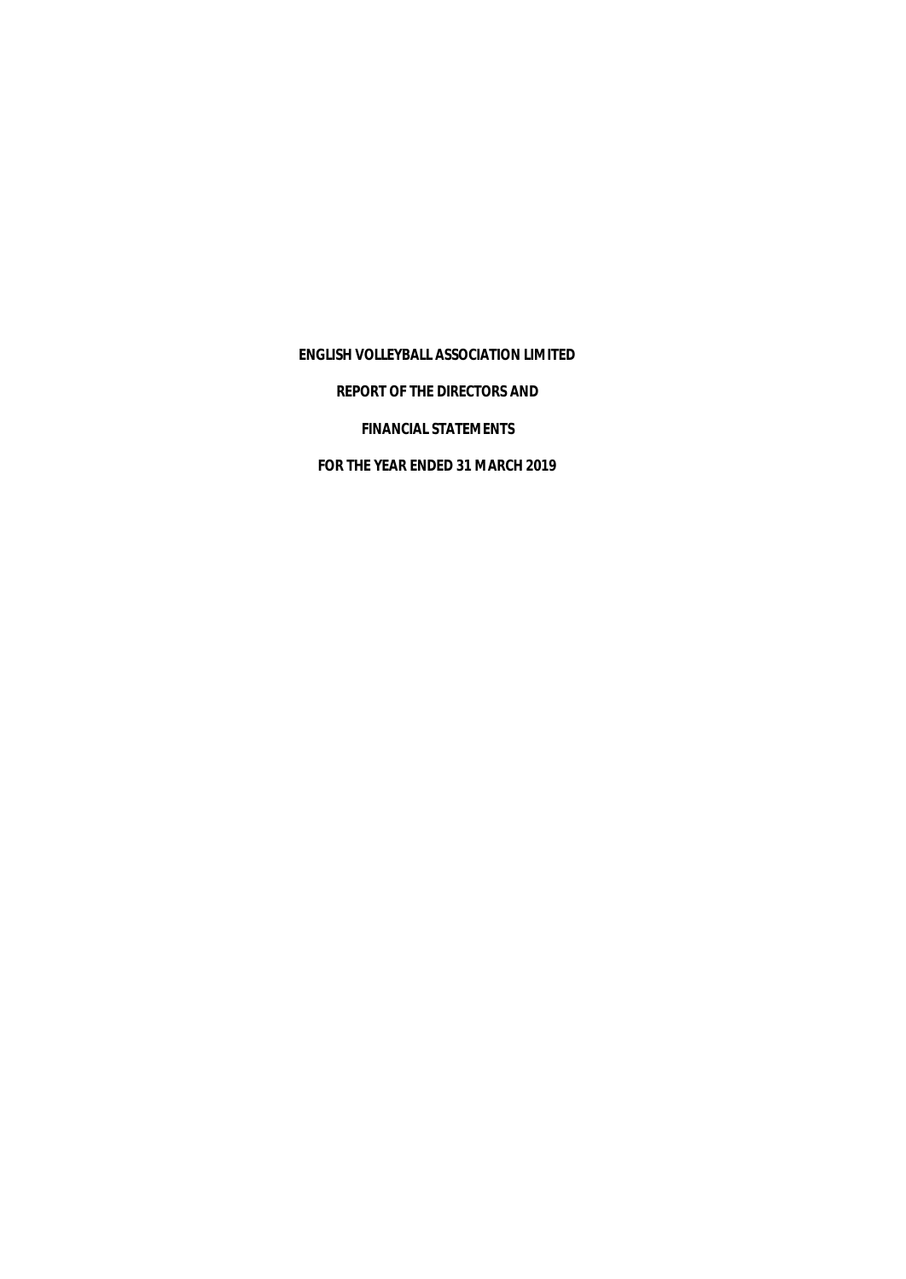**REPORT OF THE DIRECTORS AND**

**FINANCIAL STATEMENTS**

**FOR THE YEAR ENDED 31 MARCH 2019**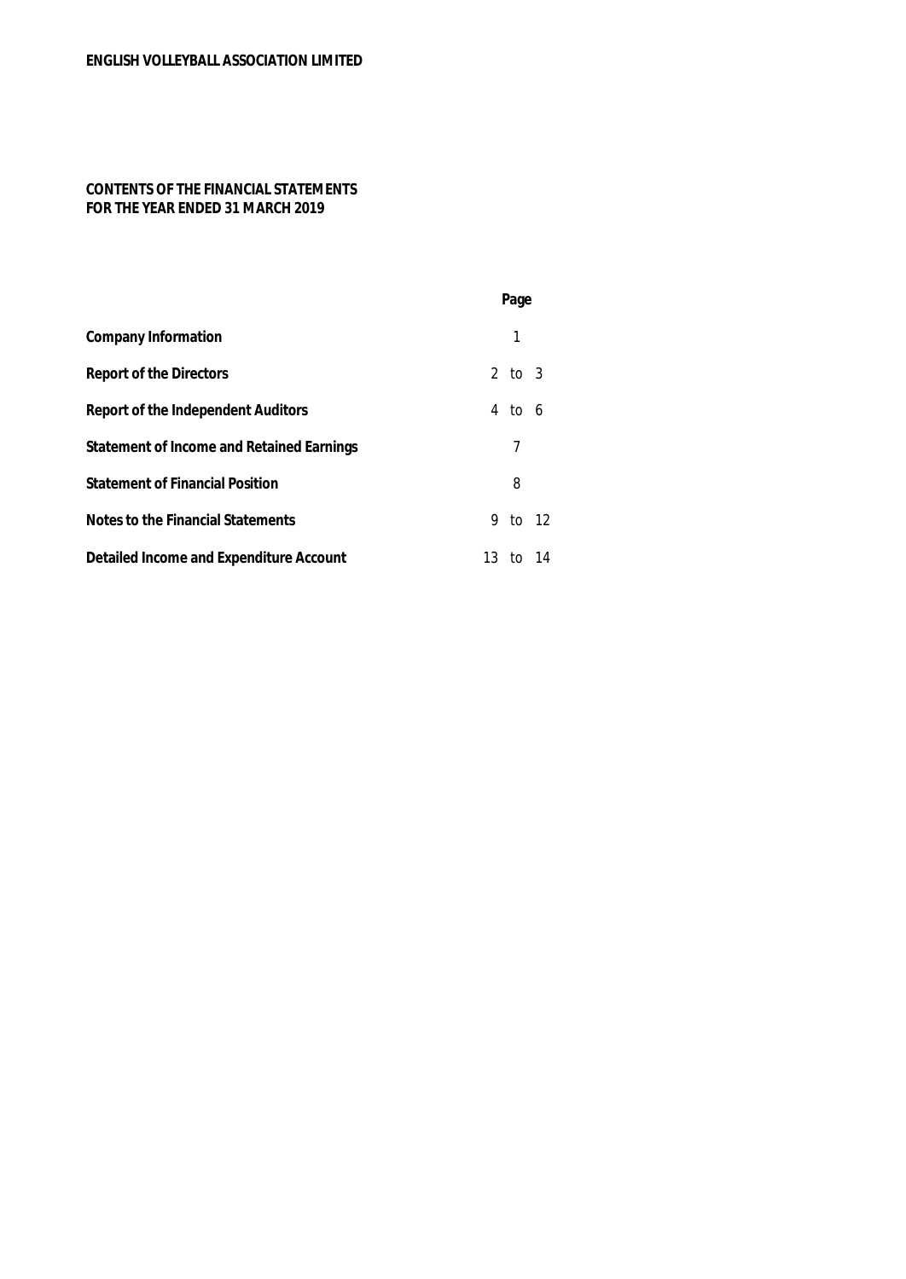# **CONTENTS OF THE FINANCIAL STATEMENTS FOR THE YEAR ENDED 31 MARCH 2019**

|                                                  | Page            |
|--------------------------------------------------|-----------------|
| <b>Company Information</b>                       | 1               |
| <b>Report of the Directors</b>                   | 2 to 3          |
| <b>Report of the Independent Auditors</b>        | 4 to 6          |
| <b>Statement of Income and Retained Earnings</b> | 7               |
| <b>Statement of Financial Position</b>           | 8               |
| <b>Notes to the Financial Statements</b>         | 9 to 12         |
| <b>Detailed Income and Expenditure Account</b>   | <b>13</b> to 14 |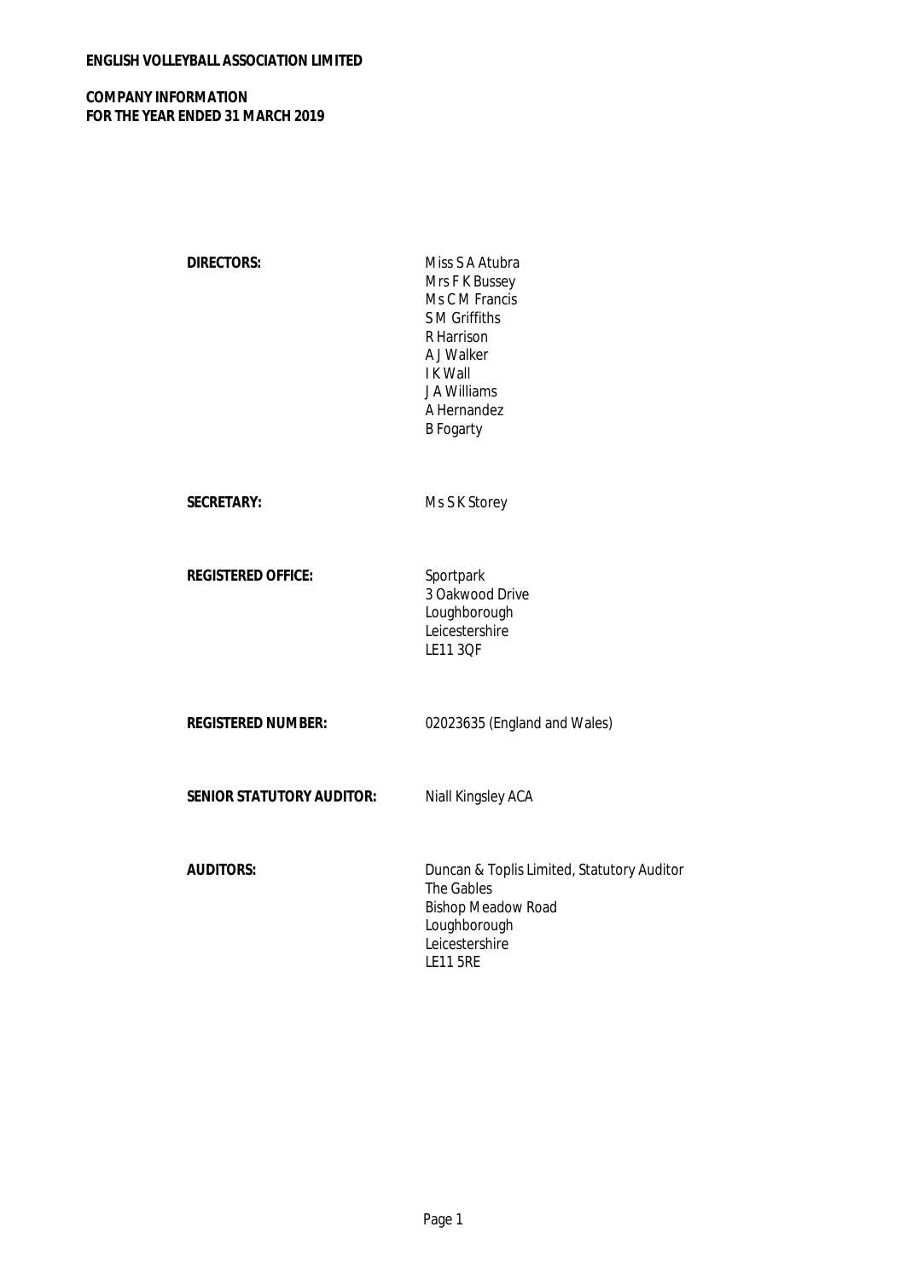# **COMPANY INFORMATION FOR THE YEAR ENDED 31 MARCH 2019**

**DIRECTORS:** Miss S A Atubra Mrs F K Bussey Ms C M Francis S M Griffiths R Harrison A J Walker I K Wall J A Williams A Hernandez B Fogarty

**SECRETARY:** Ms S K Storey

**REGISTERED OFFICE:** Sportpark

3 Oakwood Drive Loughborough **Leicestershire** LE11 3QF

**REGISTERED NUMBER:** 02023635 (England and Wales)

**SENIOR STATUTORY AUDITOR:** Niall Kingsley ACA

**AUDITORS:** Duncan & Toplis Limited, Statutory Auditor The Gables Bishop Meadow Road Loughborough **Leicestershire** LE11 5RE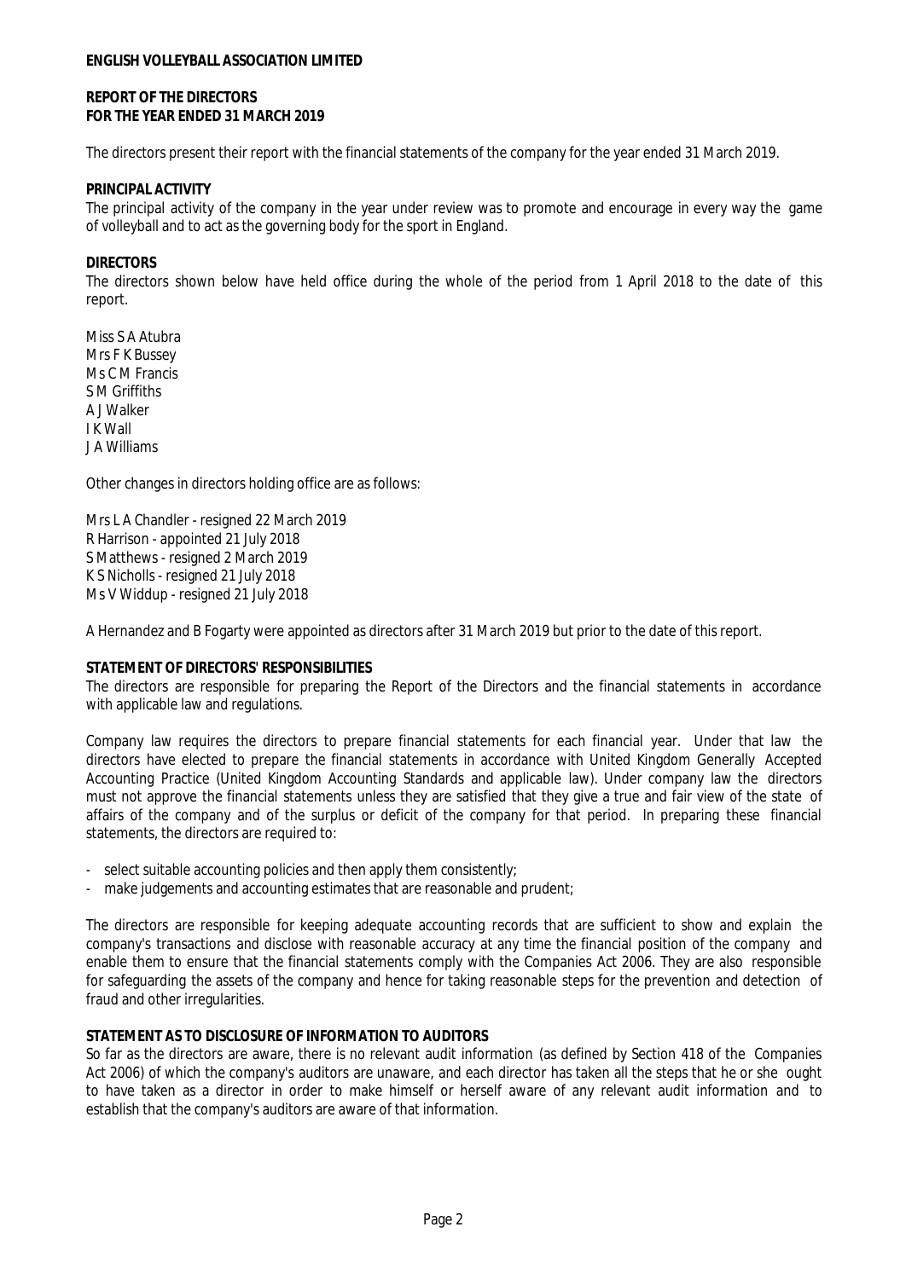## **REPORT OF THE DIRECTORS FOR THE YEAR ENDED 31 MARCH 2019**

The directors present their report with the financial statements of the company for the year ended 31 March 2019.

# **PRINCIPAL ACTIVITY**

The principal activity of the company in the year under review was to promote and encourage in every way the game of volleyball and to act as the governing body for the sport in England.

#### **DIDECTORS**

The directors shown below have held office during the whole of the period from 1 April 2018to the date of this report.

Miss S A Atubra Mrs F K Bussey Ms C M Francis S M Griffiths A J Walker I K Wall J A Williams

Other changes in directors holding office are as follows:

Mrs L A Chandler - resigned 22 March 2019 R Harrison - appointed 21 July 2018 S Matthews - resigned 2 March 2019 K S Nicholls - resigned 21 July 2018 Ms V Widdup - resigned 21 July 2018

A Hernandez and B Fogarty were appointed as directors after 31 March 2019 but prior to the date of this report.

#### **STATEMENT OF DIRECTORS' RESPONSIBILITIES**

The directors are responsible for preparing the Report of the Directors and the financial statements in accordance with applicable law and regulations.

Company law requires the directors to prepare financial statements for each financial year. Under that law the directors have elected to prepare the financial statements in accordance with United Kingdom Generally Accepted Accounting Practice (United Kingdom Accounting Standards and applicable law). Under company law the directors must not approve the financial statements unless they are satisfied that they give a true and fair view of the state of affairs of the company and of the surplus or deficit of the company for that period. In preparing these financial

- 
- statements, the directors are required to:<br>- select suitable accounting policies and then apply them consistently;<br>- make judgements and accounting estimates that are reasonable and prudent;

The directors are responsible for keeping adequate accounting records that are sufficient to show and explain the company's transactions and disclose with reasonable accuracy at any time the financial position of the company and enable them to ensure that the financial statements comply with the Companies Act 2006. They are also responsible for safeguarding the assets of the company and hence for taking reasonable steps for the prevention and detection of fraud and other irregularities.

## **STATEMENT AS TO DISCLOSURE OF INFORMATION TO AUDITORS**

So far as the directors are aware, there is no relevant audit information (as defined by Section 418 of the Companies Act 2006) of which the company's auditors are unaware, and each director has taken all the steps that he or she ought to have taken as a director in order to make himself or herself aware of any relevant audit information and to establish that the company's auditors are aware of that information.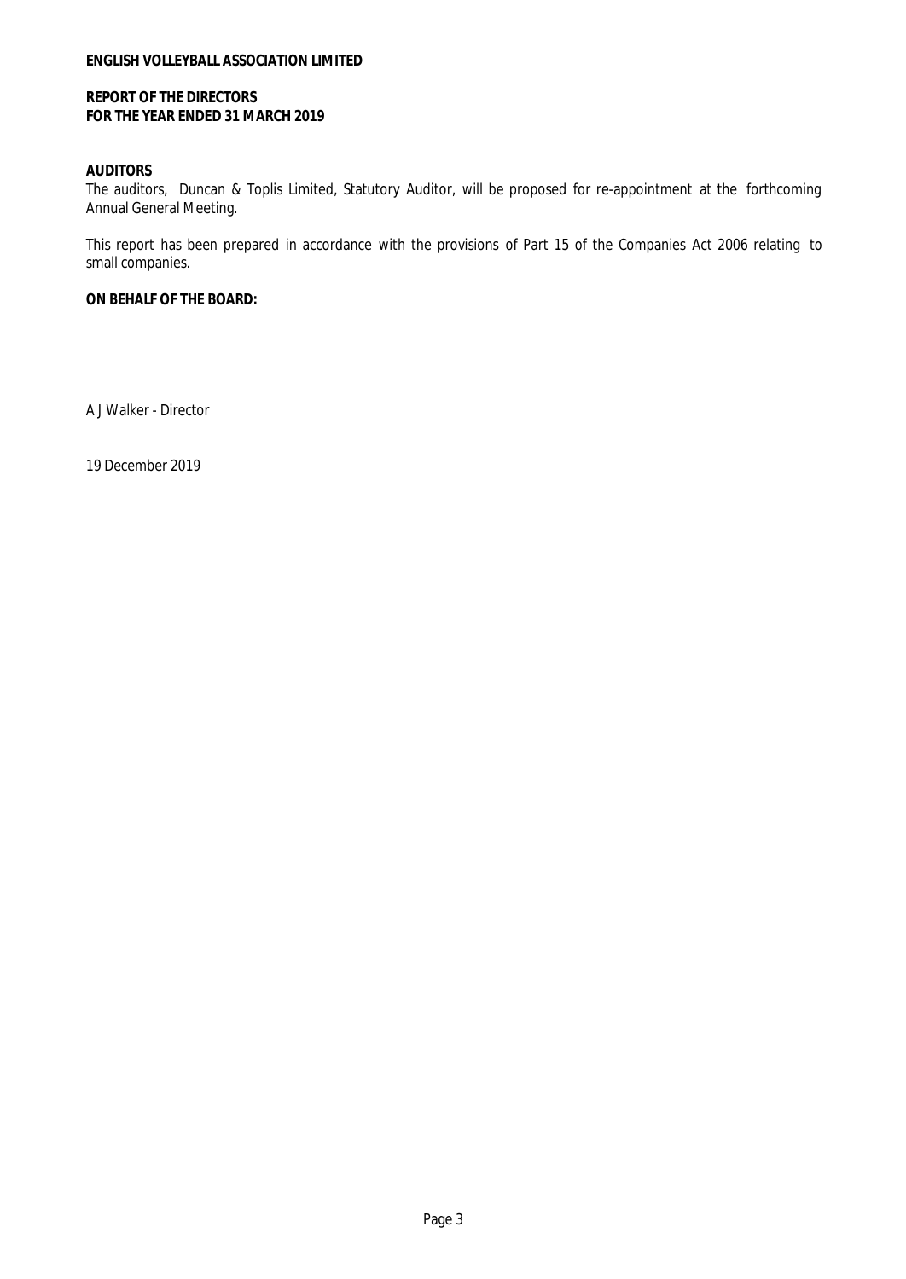**REPORT OF THE DIRECTORS FOR THE YEAR ENDED 31 MARCH 2019**

### **AUDITORS**

The auditors, Duncan & Toplis Limited, Statutory Auditor, will be proposed for re-appointment at the forthcoming Annual General Meeting.

This report has been prepared in accordance with the provisions of Part 15 of the Companies Act 2006 relating to small companies.

**ON BEHALF OF THE BOARD:**

A J Walker - Director

19 December 2019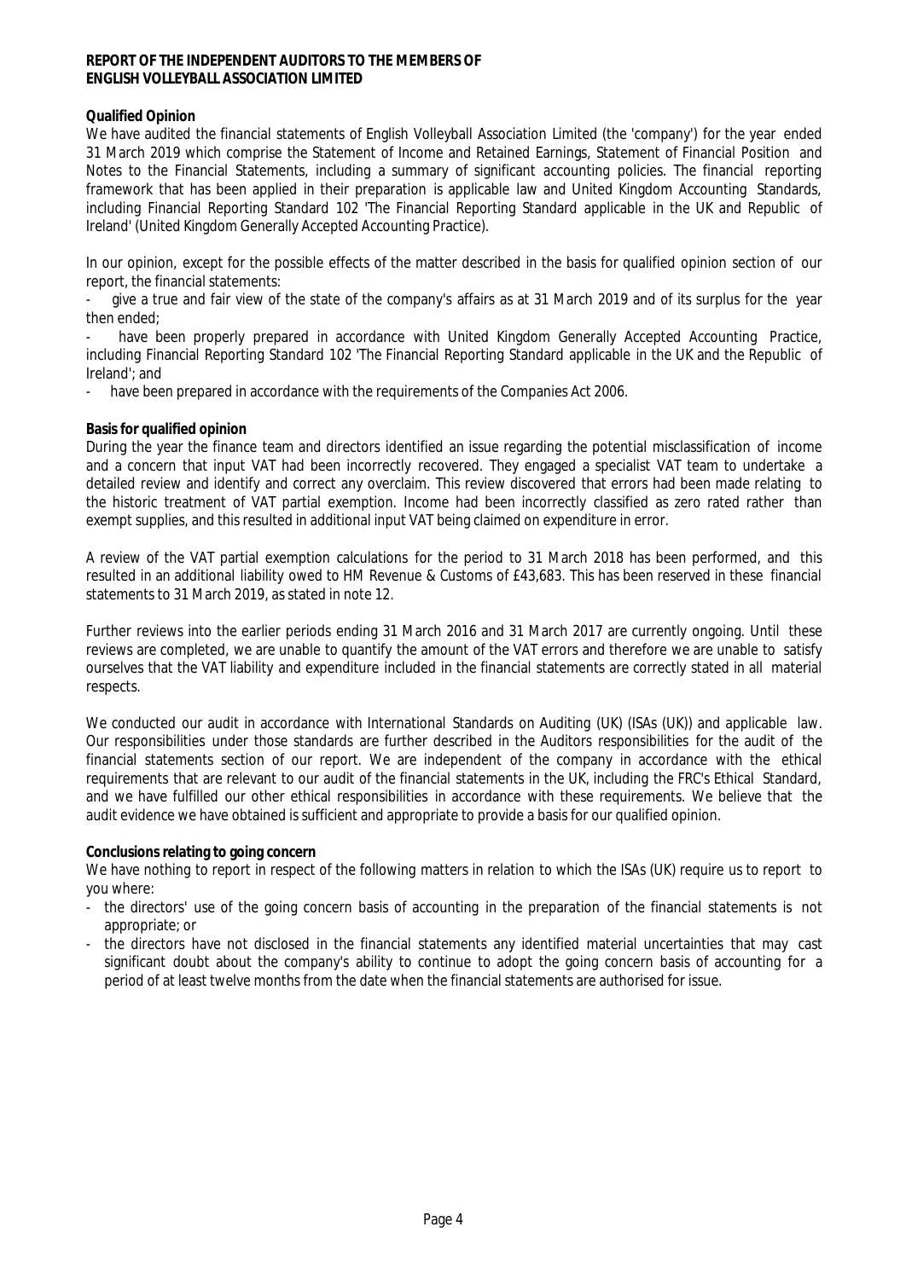# **REPORT OF THE INDEPENDENT AUDITORS TO THE MEMBERS OF ENGLISH VOLLEYBALL ASSOCIATION LIMITED**

## **Qualified Opinion**

We have audited the financial statements of English Volleyball Association Limited (the 'company') for the year ended 31 March 2019 which comprise the Statement of Income and Retained Earnings, Statement of Financial Position and Notes to the Financial Statements, including a summary of significant accounting policies. The financial reporting framework that has been applied in their preparation is applicable law and United Kingdom Accounting Standards, including Financial Reporting Standard 102 'The Financial Reporting Standard applicable in the UK and Republic of Ireland' (United Kingdom Generally Accepted Accounting Practice).

In our opinion, except for the possible effects of the matter described in the basis for qualified opinion section of our report, the financial statements:

- give a true and fair view of the state of the company's affairs as at31 March 2019 and of its surplus for the year then ended;

have been properly prepared in accordance with United Kingdom Generally Accepted Accounting Practice, including Financial Reporting Standard 102 'The Financial Reporting Standard applicable in the UK and the Republic of Ireland'; and

- have been prepared in accordance with the requirements of the Companies Act 2006.

### **Basis for qualified opinion**

During the year the finance team and directors identified an issue regarding the potential misclassification of income and aconcern that input VAT had been incorrectly recovered. They engaged a specialist VAT team to undertake a detailed review and identify and correct any overclaim. This review discovered that errors had been made relating to the historic treatment of VAT partial exemption. Income had been incorrectly classified as zero rated rather than exempt supplies, and this resulted in additional input VAT being claimed on expenditure in error.

A review of the VAT partial exemption calculations for the period to 31 March 2018 has been performed, and this resulted in an additional liability owed to HM Revenue & Customs of £43,683. This has been reserved in these financial statements to 31 March 2019, as stated in note 12.

Further reviews into the earlier periods ending 31 March 2016 and 31 March 2017 are currently ongoing. Until these reviews are completed, we are unable to quantify the amount of the VAT errors and therefore we are unable to satisfy ourselves that the VAT liability and expenditure included in the financial statements are correctly stated in all material respects.

We conducted our audit in accordance with International Standards on Auditing (UK) (ISAs (UK)) and applicable law. Our responsibilities under those standards are further described in the Auditors responsibilities for the audit of the financial statements section of our report. We are independent of the company in accordance with the ethical requirements that are relevant to our audit of the financial statements in the UK, including the FRC's Ethical Standard, and we have fulfilled our other ethical responsibilities in accordance with these requirements. We believe that the audit evidence we have obtained is sufficient and appropriate to provide a basis for our qualified opinion.

#### **Conclusions relating to going concern**

We have nothing to report in respect of the following matters in relation to which the ISAs (UK) require us to report to

- you where:<br>- the directors' use of the going concern basis of accounting in the preparation of the financial statements is not
- appropriate; or<br>- the directors have not disclosed in the financial statements any identified material uncertainties that may cast significant doubt about the company's ability to continue to adopt the going concern basis of accounting for a period of at least twelve months from the date when the financial statements are authorised for issue.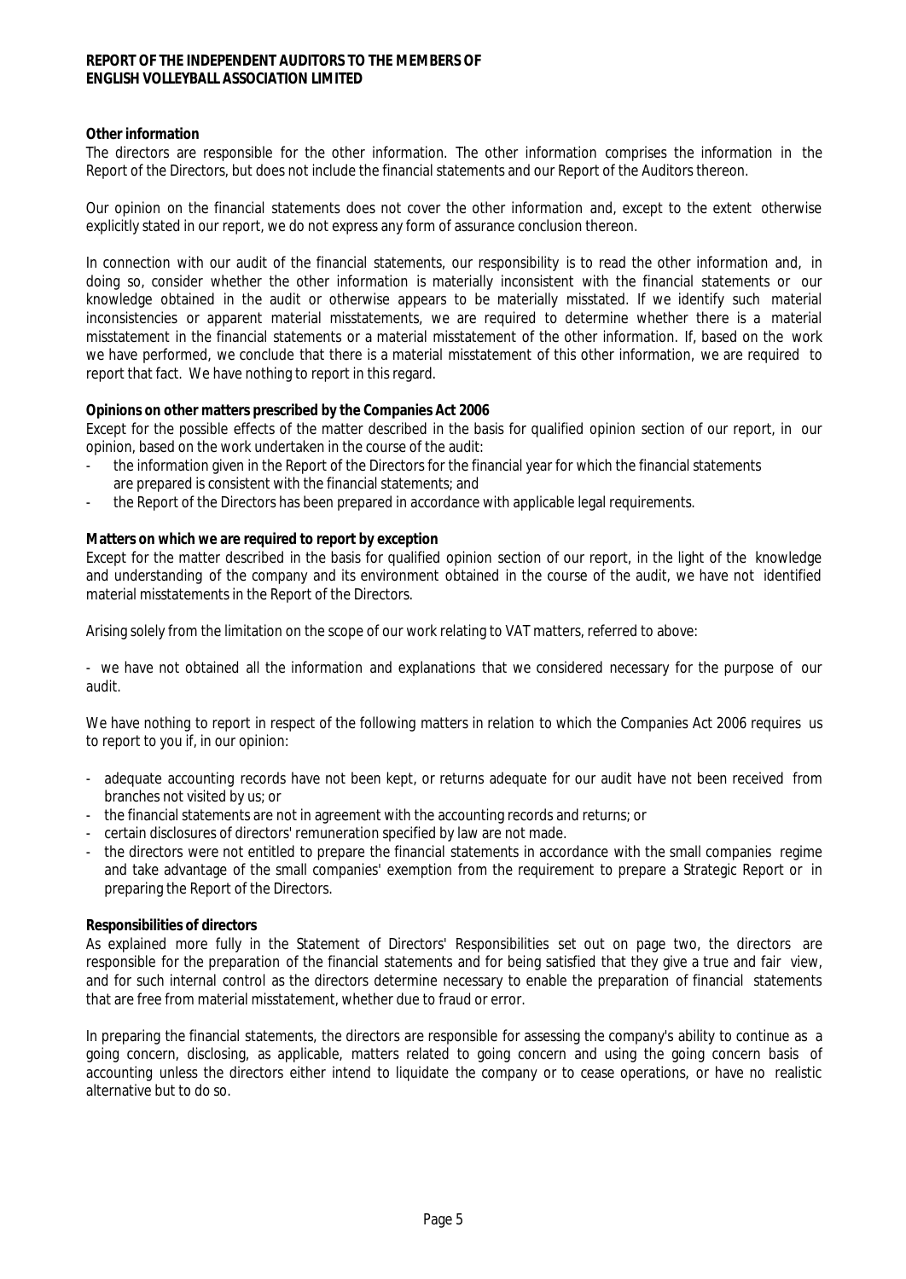### **Other information**

The directors are responsible for the other information. The other information comprises the information in the Report of the Directors, but does not include the financial statements and our Report of the Auditors thereon.

Our opinion on the financial statements does not cover the other information and, except to the extent otherwise explicitly stated in our report, we do not express any form of assurance conclusion thereon.

In connection with our audit of the financial statements, our responsibility is to read the other information and, in doing so, consider whether the other information is materially inconsistent with the financial statements or our knowledge obtained in the audit or otherwise appears to be materially misstated. If we identify such material inconsistencies or apparent material misstatements, we are required to determine whether there is a material misstatement in the financial statements or a material misstatement of the other information. If, based on the work we have performed, we conclude that there is a material misstatement of this other information, we are required to report that fact. We have nothing to report in this regard.

## **Opinions on other matters prescribed by the Companies Act 2006**

Except for the possible effects of the matter described in the basis for qualified opinion section of our report, in our opinion, based on the work undertaken in the course of the audit:

- the information given in the Report of the Directors for the financial year for which the financial statements are prepared is consistent with the financial statements; and
- the Report of the Directors has been prepared in accordance with applicable legal requirements.

### **Matters on which we are required to report by exception**

Except for the matter described in the basis for qualified opinion section of our report, in the light of the knowledge and understanding of the company and its environment obtained in the course of the audit, we have not identified material misstatements in the Report of the Directors.

Arising solely from the limitation on the scope of our work relating to VAT matters, referred to above:

- we have not obtained all the information and explanations that we considered necessary for the purpose of our audit.

We have nothing to report in respect of the following matters in relation to which the Companies Act 2006 requires us to report to you if, in our opinion:

- adequate accounting records have not been kept, or returns adequate for our audit have not been received from
- 
- 
- branches not visited by us; or<br>• the financial statements are not in agreement with the accounting records and returns; or<br>• certain disclosures of directors' remuneration specified by law are not made.<br>• the directors wer and take advantage of the small companies' exemption from the requirement to prepare a Strategic Report or in preparing the Report of the Directors.

#### **Responsibilities of directors**

As explained more fully in the Statement of Directors' Responsibilities set out on page two, the directors are responsible for the preparation of the financial statements and for being satisfied that they give a true and fair view, and for such internal control as the directors determine necessary to enable the preparation of financial statements that are free from material misstatement, whether due to fraud or error.

In preparing the financial statements, the directors are responsible for assessing the company's ability to continue as a going concern, disclosing, as applicable, matters related to going concern and using the going concern basis of accounting unless the directors either intend to liquidate the company or to cease operations, or have no realistic alternative but to do so.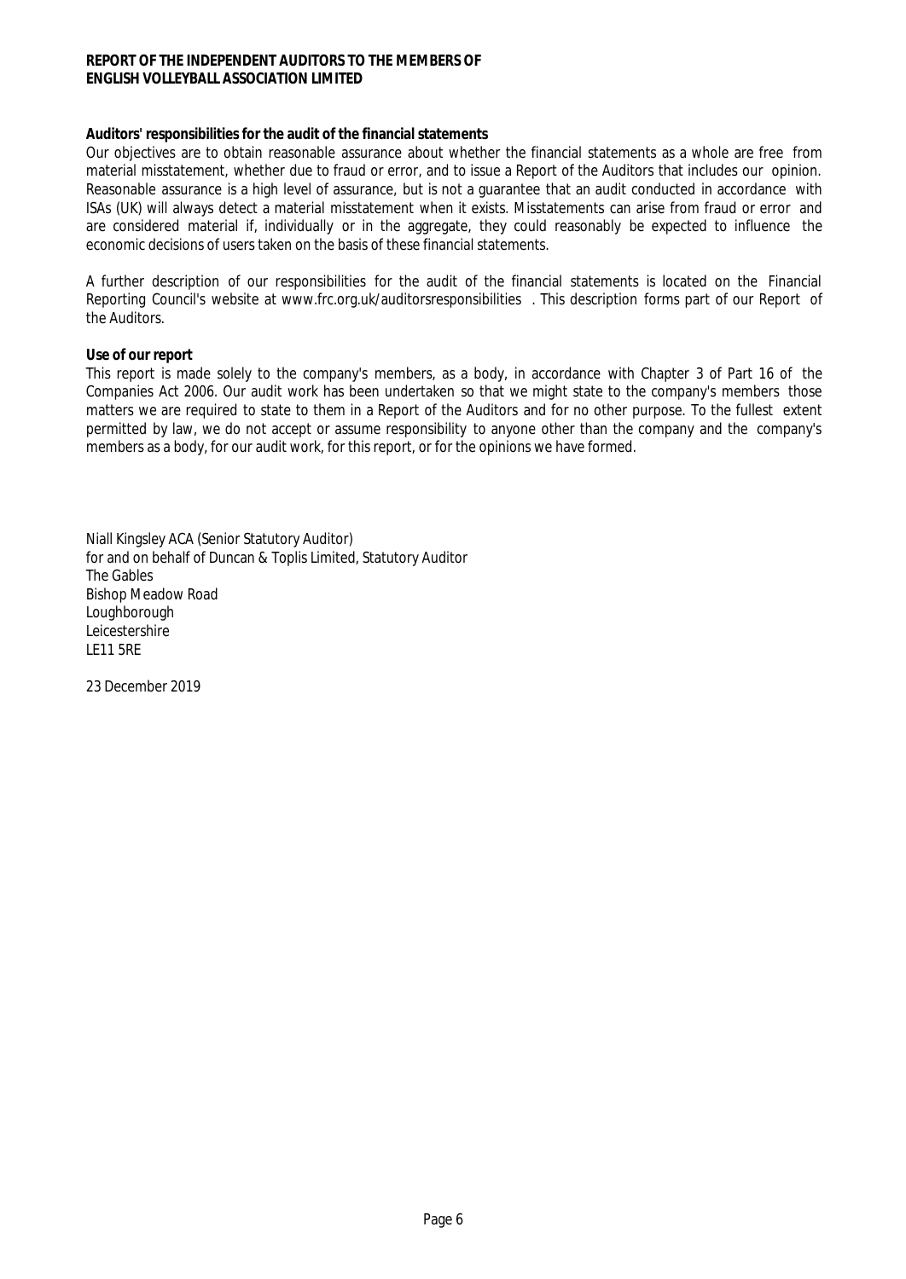## **REPORT OF THE INDEPENDENT AUDITORS TO THE MEMBERS OF ENGLISH VOLLEYBALL ASSOCIATION LIMITED**

**Auditors' responsibilities for the audit of the financial statements**

Our objectives are to obtain reasonable assurance about whether the financial statements as a whole are free from material misstatement, whether due to fraud or error, and to issue a Report of the Auditors that includes our opinion. Reasonable assurance is a high level of assurance, but is not a guarantee that an audit conducted in accordance with ISAs (UK) will always detect a material misstatement when it exists. Misstatements can arise from fraud or error and are considered material if, individually or in the aggregate, they could reasonably be expected to influence the economic decisions of users taken on the basis of these financial statements.

A further description of our responsibilities for the audit of the financial statements is located on the Financial Reporting Council's website at www.frc.org.uk/auditorsresponsibilities . This description forms part of our Report of the Auditors.

#### **Use of our report**

This report is made solely to the company's members, as a body, in accordance with Chapter 3 of Part 16 of the Companies Act 2006. Our audit work has been undertaken so that we might state to the company's members those matters we are required to state to them in a Report of the Auditors and for no other purpose. To the fullest extent permitted bylaw, we do not accept or assume responsibility to anyone other than the company and the company's members as a body, for our audit work, for this report, or for the opinions we have formed.

Niall Kingsley ACA (Senior Statutory Auditor) for and on behalf of Duncan & Toplis Limited, Statutory Auditor The Gables Bishop Meadow Road Loughborough **Leicestershire** LE11 5RE

23 December 2019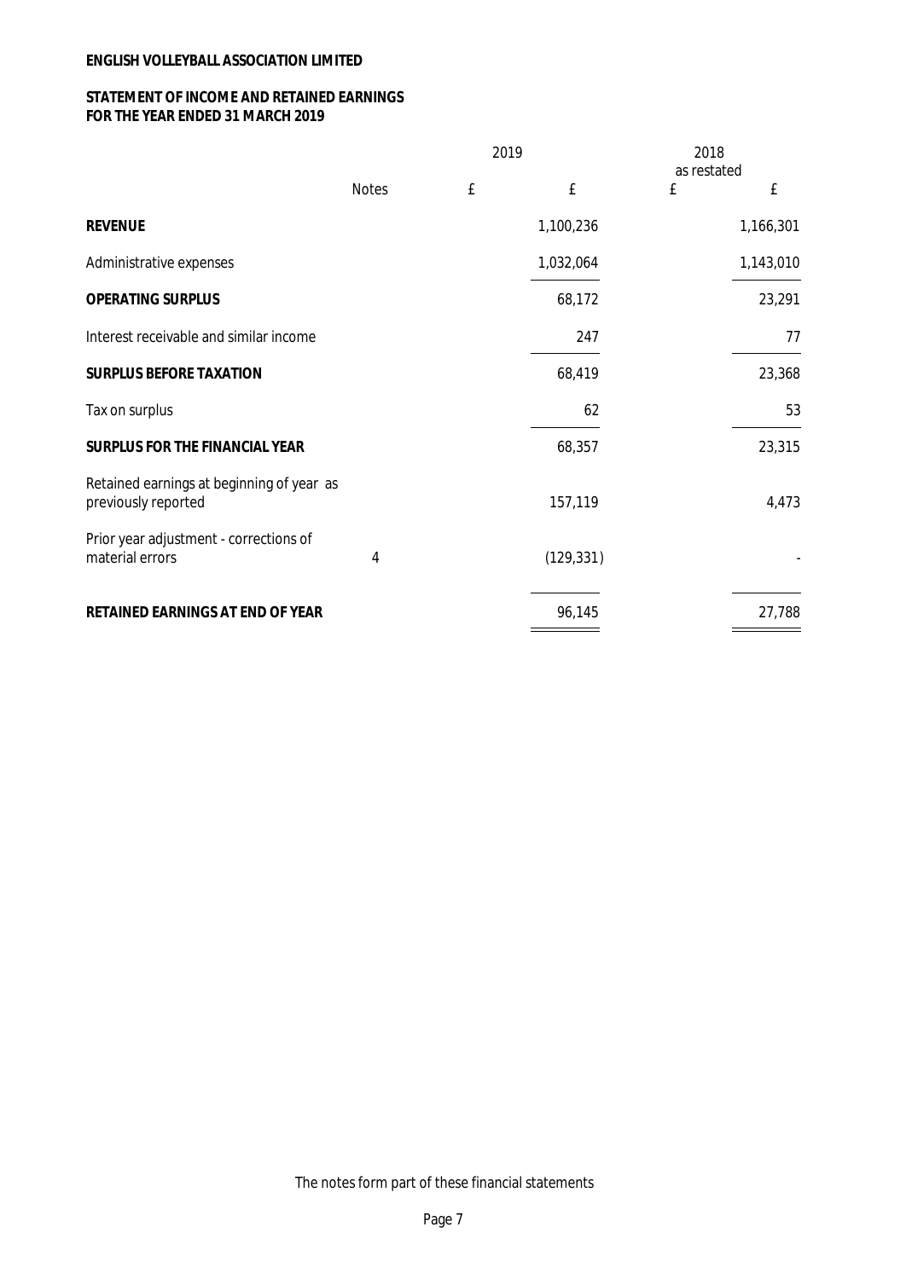# **STATEMENT OF INCOME AND RETAINED EARNINGS FOR THE YEAR ENDED 31 MARCH 2019**

|                                                                  |              | 2019 |            | 2018<br>as restated |           |
|------------------------------------------------------------------|--------------|------|------------|---------------------|-----------|
|                                                                  | <b>Notes</b> | £    | £          | £                   | £         |
| <b>REVENUE</b>                                                   |              |      | 1,100,236  |                     | 1,166,301 |
| <b>Administrative expenses</b>                                   |              |      | 1,032,064  |                     | 1,143,010 |
| <b>OPERATING SURPLUS</b>                                         |              |      | 68,172     |                     | 23,291    |
| Interest receivable and similar income                           |              |      | 247        |                     | 77        |
| <b>SURPLUS BEFORE TAXATION</b>                                   |              |      | 68,419     |                     | 23,368    |
| <b>Tax on surplus</b>                                            |              |      | 62         |                     | 53        |
| <b>SURPLUS FOR THE FINANCIAL YEAR</b>                            |              |      | 68,357     |                     | 23,315    |
| Retained earnings at beginning of year as<br>previously reported |              |      | 157,119    |                     | 4,473     |
| Prior year adjustment - corrections of<br>material errors        | 4            |      | (129, 331) |                     |           |
| <b>RETAINED EARNINGS AT END OF YEAR</b>                          |              |      | 96,145     |                     | 27,788    |

The notes form part of these financial statements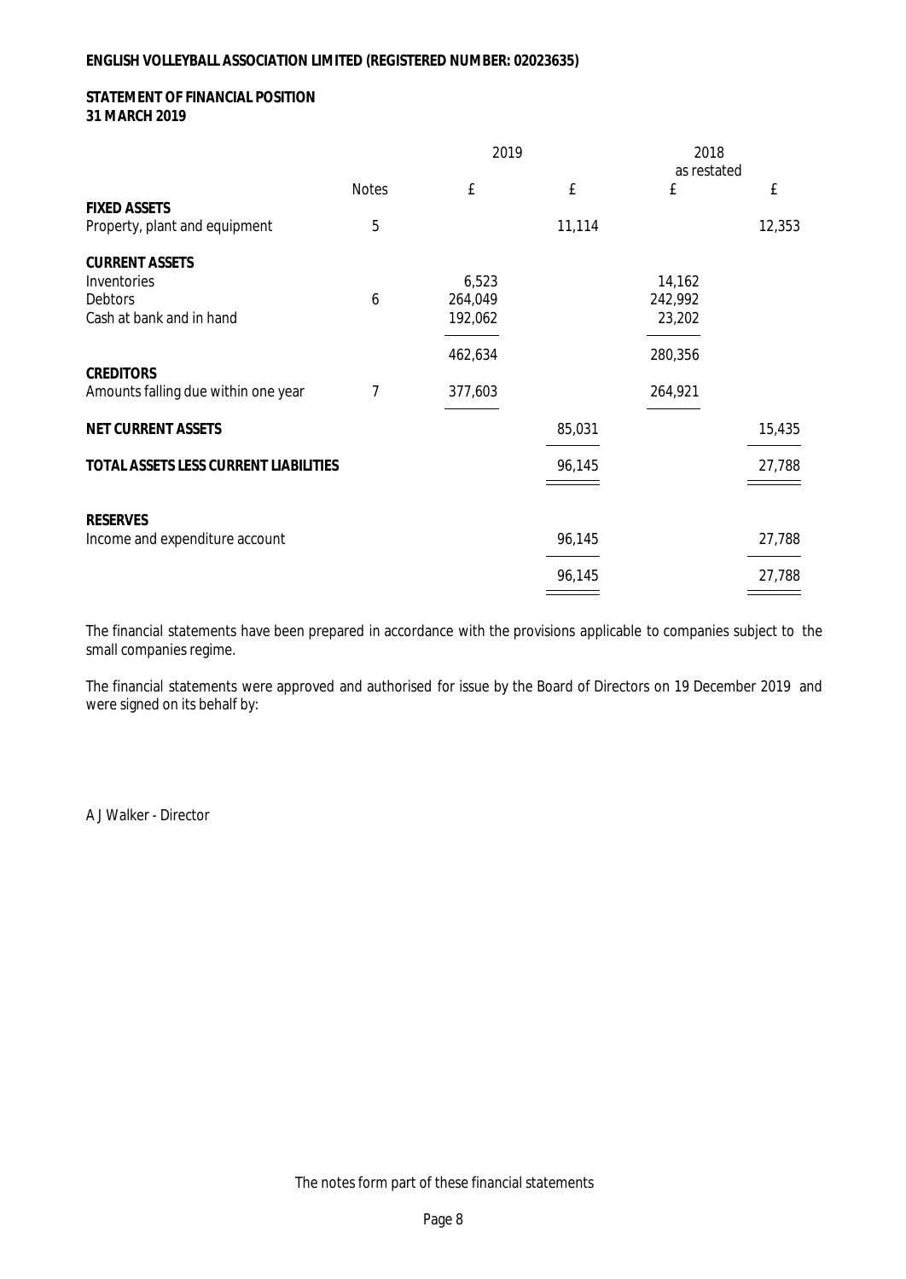# **ENGLISH VOLLEYBALL ASSOCIATION LIMITED (REGISTERED NUMBER: 02023635)**

# **STATEMENT OF FINANCIAL POSITION 31 MARCH 2019**

|                                              |              | 2019    |        | 2018<br>as restated |        |
|----------------------------------------------|--------------|---------|--------|---------------------|--------|
|                                              | <b>Notes</b> | £       | £      | £                   | £      |
| <b>FIXED ASSETS</b>                          |              |         |        |                     |        |
| <b>Property, plant and equipment</b>         | 5            |         | 11,114 |                     | 12,353 |
| <b>CURRENT ASSETS</b>                        |              |         |        |                     |        |
| <b>Inventories</b>                           |              | 6,523   |        | 14,162              |        |
| <b>Debtors</b>                               | 6            | 264,049 |        | 242,992             |        |
| <b>Cash at bank and in hand</b>              |              | 192,062 |        | 23,202              |        |
|                                              |              | 462,634 |        | 280,356             |        |
| <b>CREDITORS</b>                             |              |         |        |                     |        |
| Amounts falling due within one year          | 7            | 377,603 |        | 264,921             |        |
| <b>NET CURRENT ASSETS</b>                    |              |         | 85,031 |                     | 15,435 |
| <b>TOTAL ASSETS LESS CURRENT LIABILITIES</b> |              |         | 96,145 |                     | 27,788 |
|                                              |              |         |        |                     |        |
| <b>RESERVES</b>                              |              |         |        |                     |        |
| Income and expenditure account               |              |         | 96,145 |                     | 27,788 |
|                                              |              |         | 96,145 |                     | 27,788 |
|                                              |              |         |        |                     |        |

The financial statements have been prepared in accordance with the provisions applicable to companies subject to the small companies regime.

The financial statements were approved and authorised for issue by the Board of Directors on 19 December 2019 and were signed on its behalf by:

A J Walker - Director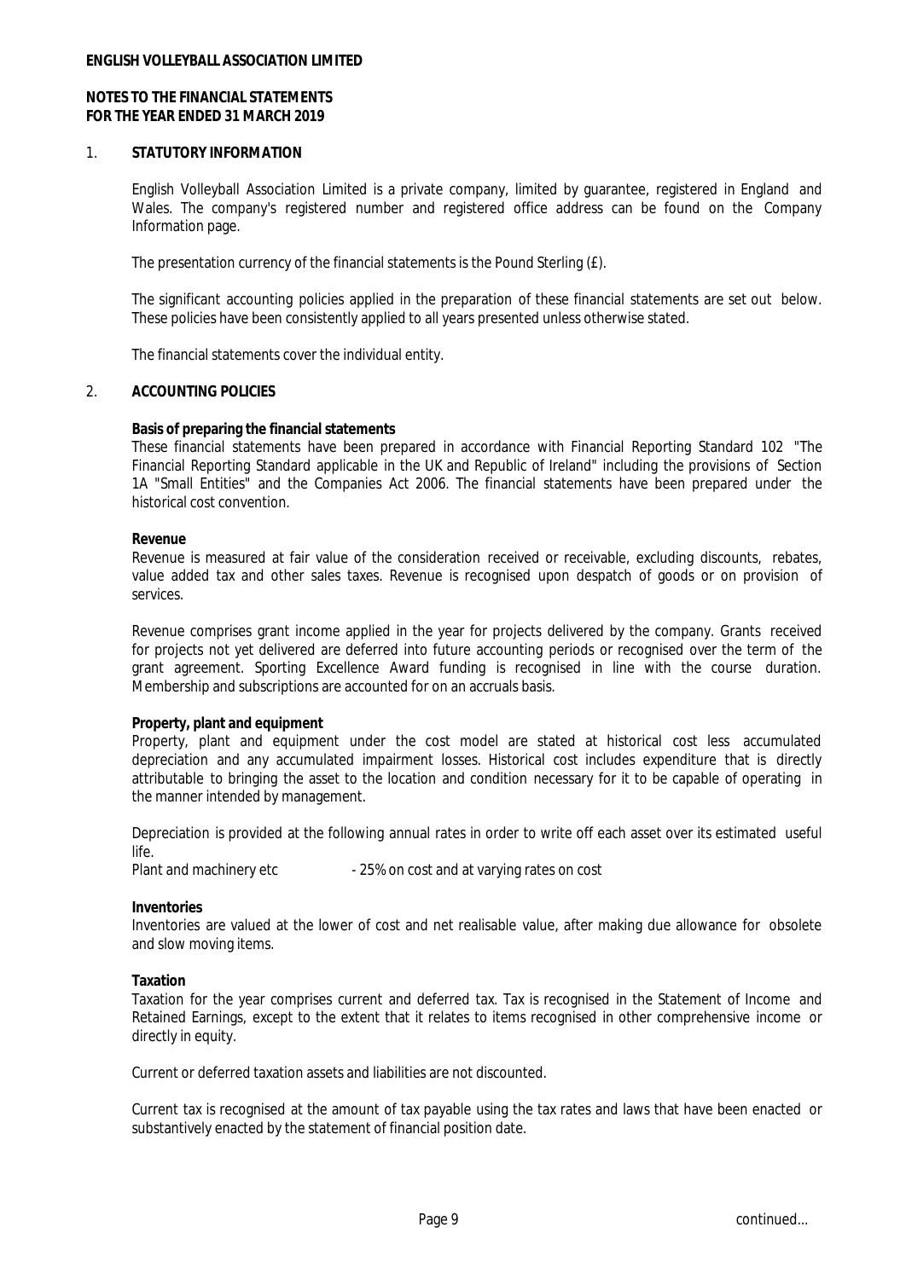# **NOTES TO THE FINANCIAL STATEMENTS FOR THE YEAR ENDED 31 MARCH 2019**

### 1. **STATUTORY INFORMATION**

English Volleyball Association Limited is a private company, limited byguarantee, registered in England and Wales. The company's registered number and registered office address can be found on the Company Information page.

The presentation currency of the financial statements is the Pound Sterling (£).

The significant accounting policies applied in the preparation of these financial statements are set out below. These policies have been consistently applied to all years presented unless otherwise stated.

The financial statements cover the individual entity.

## 2. **ACCOUNTING POLICIES**

**Basis of preparing the financial statements**

These financial statements have been prepared in accordance with Financial Reporting Standard 102 "The Financial Reporting Standard applicable in the UK and Republic of Ireland" including the provisions of Section 1A "Small Entities" and the Companies Act 2006. The financial statements have been prepared under the historical cost convention.

#### **Revenue**

Revenue is measured at fair value of the consideration received or receivable, excluding discounts, rebates, value added tax and other sales taxes. Revenue is recognised upon despatch of goods or on provision of services.

Revenue comprises grant income applied in the year for projects delivered by the company. Grants received for projects not yet delivered are deferred into future accounting periods or recognised over the term of the grant agreement. Sporting Excellence Award funding is recognised in line with the course duration. Membership and subscriptions are accounted for on an accruals basis.

#### **Property, plant and equipment**

Property, plant and equipment under the cost model are stated at historical cost less accumulated depreciation and any accumulated impairment losses. Historical cost includes expenditure that is directly attributable to bringing the asset to the location and condition necessary for it to be capable of operating in the manner intended by management.

Depreciation is provided at the following annual rates in order to write off each asset over its estimated useful life.

Plant and machinery etc - 25% on cost and at varying rates on cost

#### **Inventories**

Inventories are valued at the lower of cost and net realisable value, after making due allowance for obsolete and slow moving items.

**Taxation**

Taxation for the year comprises current and deferred tax. Tax is recognised in the Statement of Income and Retained Earnings, except to the extent that it relates to itemsrecognised in other comprehensive income or directly in equity.

Current or deferred taxation assets and liabilities are not discounted.

Current tax is recognised at the amount of tax payable using the tax rates and laws that have been enacted or substantively enacted by the statement of financial position date.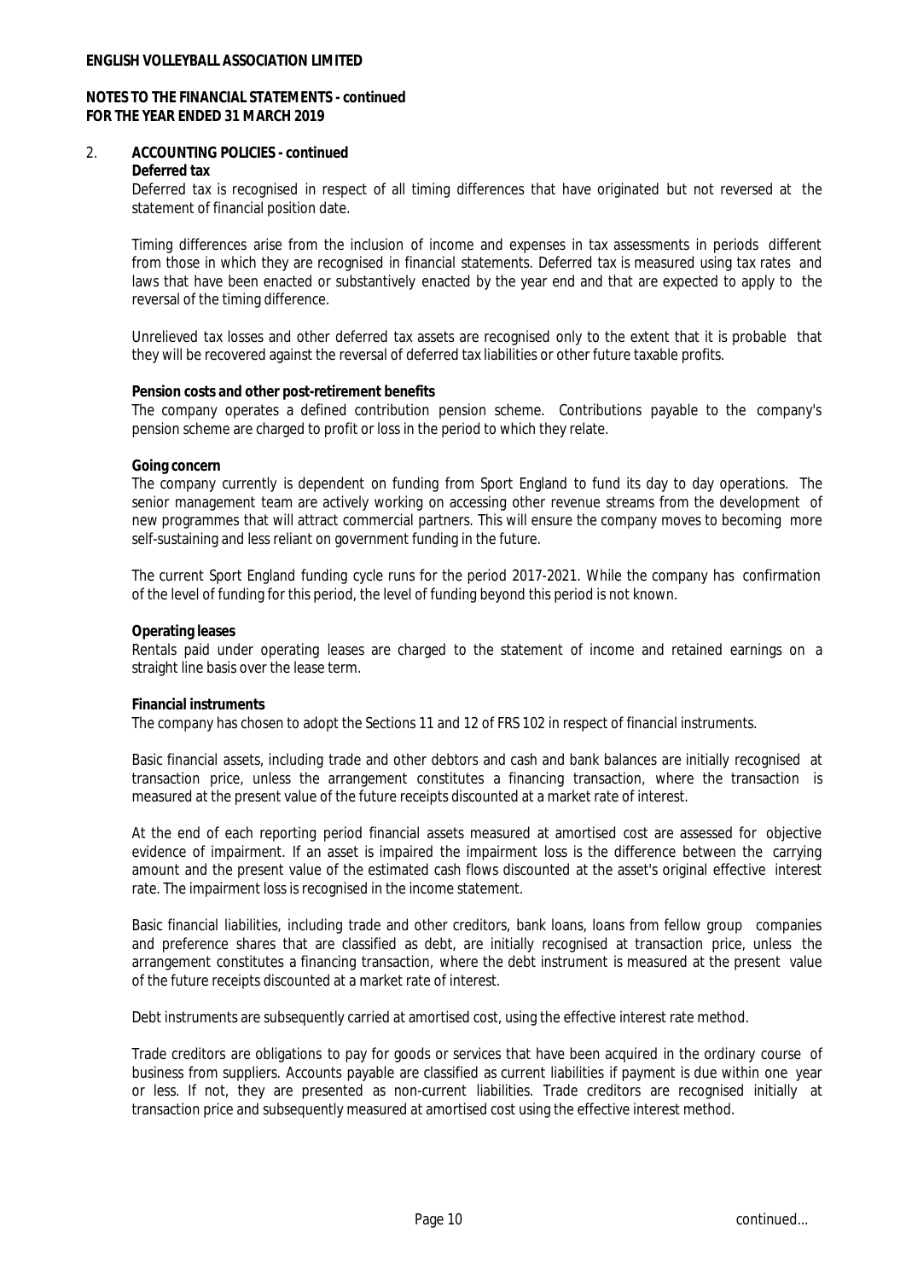# **NOTES TO THE FINANCIAL STATEMENTS - continued FOR THE YEAR ENDED 31 MARCH 2019**

## 2. **ACCOUNTING POLICIES - continued**

#### **Deferred tax**

Deferred tax is recognised in respect of all timing differences that have originated but not reversed at the statement of financial position date.

Timing differences arise from the inclusion of income and expenses in tax assessments in periods different from those in which they are recognised in financial statements. Deferred tax is measured using tax rates and laws that have been enacted or substantively enacted by the year end and that are expected to apply to the reversal of the timing difference.

Unrelieved tax losses and other deferred tax assets are recognised only to the extent that it is probable that they will be recovered against the reversal of deferred tax liabilities or other future taxable profits.

#### **Pension costs and other post-retirement benefits**

The company operates a defined contribution pension scheme. Contributions payable to the company's pension scheme are charged to profit or loss in the period to which they relate.

#### **Going concern**

The company currently is dependent on funding from Sport England to fund its day to day operations. The senior management team are actively working on accessing other revenue streams from the development of new programmes thatwill attract commercial partners. This will ensure the company moves to becoming more self-sustaining and less reliant on government funding in the future.

The current Sport England funding cycle runsfor the period 2017-2021. While the company has confirmation of the level of funding for this period, the level of funding beyond this period is not known.

#### **Operating leases**

Rentals paid under operating leases are charged to the statement of income and retained earnings on a straight line basis over the lease term.

#### **Financial instruments**

The company has chosen to adopt the Sections 11 and 12 of FRS 102 in respect of financial instruments.

Basic financial assets, including trade and other debtors and cash and bank balances are initially recognised at transaction price, unless the arrangement constitutes a financing transaction, where the transaction is measured at the present value of the future receipts discounted at a market rate of interest.

At the end of each reporting period financial assets measured at amortised cost are assessed for objective evidence of impairment. If an asset is impaired the impairment loss is the difference between the carrying amount and the present value of the estimated cash flows discounted at the asset's original effective interest rate. The impairment loss is recognised in the income statement.

Basic financial liabilities, including trade and other creditors, bank loans, loans from fellow group companies and preference shares that are classified as debt, are initially recognised at transaction price, unless the arrangement constitutes a financing transaction, where the debt instrument is measured at the present value of the future receipts discounted at a market rate of interest.

Debt instruments are subsequently carried at amortised cost, using the effective interest rate method.

Trade creditors are obligations to pay for goods or services that have been acquired in the ordinary course of business from suppliers. Accounts payable are classified as current liabilities if payment is due within one year or less. If not, they are presented as non-current liabilities. Trade creditors are recognised initially at transaction price and subsequently measured at amortised cost using the effective interest method.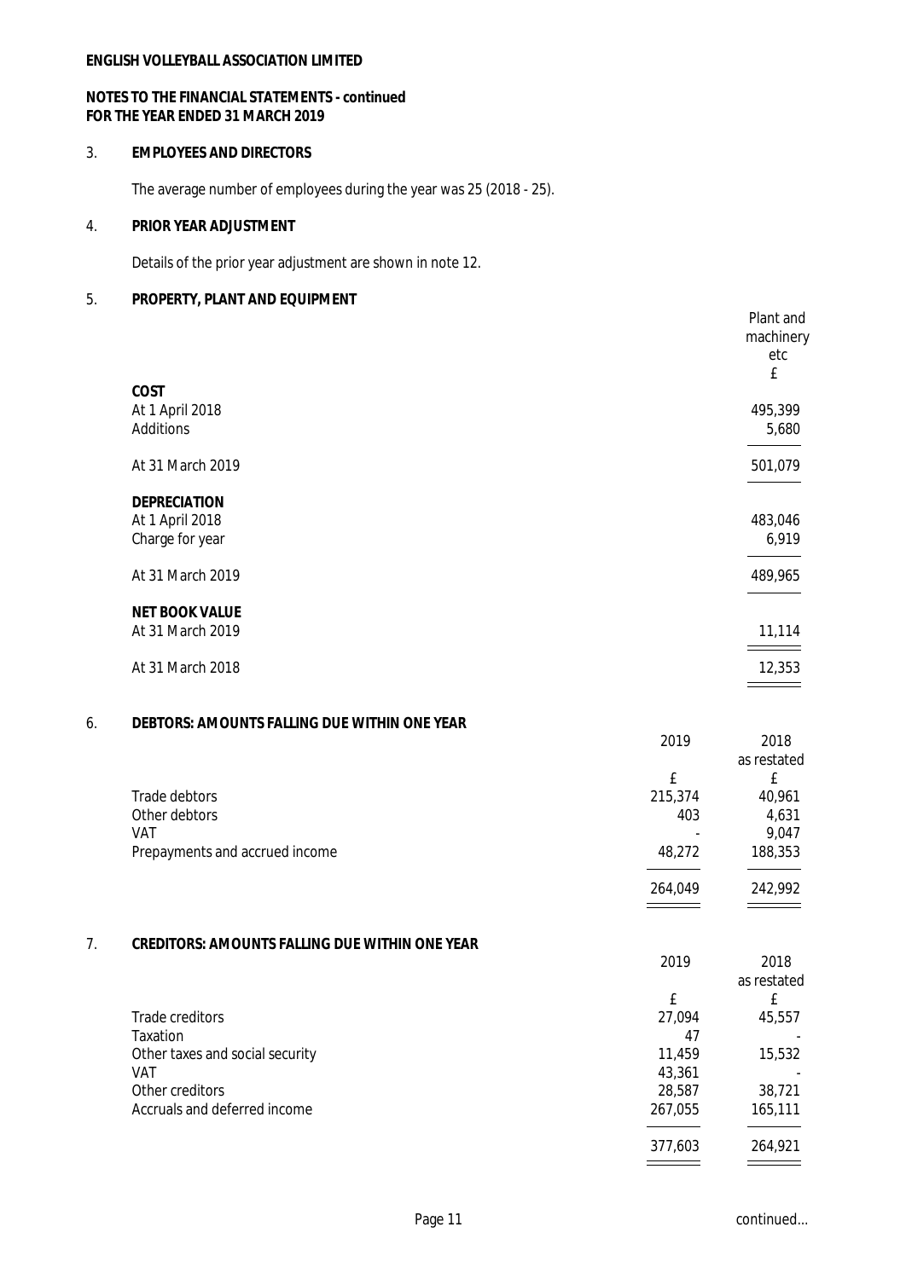# **NOTES TO THE FINANCIAL STATEMENTS - continued FOR THE YEAR ENDED 31 MARCH 2019**

# 3. **EMPLOYEES AND DIRECTORS**

The average number of employees during the year was 25 (2018 - 25).

# 4. **PRIOR YEAR ADJUSTMENT**

Details of the prior year adjustment are shown in note 12.

# 5. **PROPERTY, PLANT AND EQUIPMENT**

|                         | <b>Plant and</b><br>machinery              |
|-------------------------|--------------------------------------------|
|                         | etc                                        |
|                         | £                                          |
| <b>COST</b>             |                                            |
| <b>At 1 April 2018</b>  | 495,399                                    |
| <b>Additions</b>        | 5,680                                      |
| <b>At 31 March 2019</b> | 501,079                                    |
| <b>DEPRECIATION</b>     |                                            |
| <b>At 1 April 2018</b>  | 483,046                                    |
| <b>Charge for year</b>  | 6,919                                      |
| <b>At 31 March 2019</b> | 489,965                                    |
| <b>NET BOOK VALUE</b>   |                                            |
| <b>At 31 March 2019</b> | 11,114                                     |
| <b>At 31 March 2018</b> | <u> Albanya di Santana di Ba</u><br>12,353 |
|                         |                                            |

# 6. **DEBTORS: AMOUNTS FALLING DUE WITHIN ONE YEAR**

|                                       | 2019           | 2018        |  |
|---------------------------------------|----------------|-------------|--|
|                                       |                | as restated |  |
|                                       | £              | £           |  |
| <b>Trade debtors</b>                  | 215,374        | 40,961      |  |
| <b>Other debtors</b>                  | 403            | 4,631       |  |
| VAT                                   | $\blacksquare$ | 9,047       |  |
| <b>Prepayments and accrued income</b> | 48,272         | 188,353     |  |
|                                       | 264,049        | 242,992     |  |
|                                       |                |             |  |

# 7. **CREDITORS: AMOUNTS FALLING DUE WITHIN ONE YEAR**

|                                        | 2019    | 2018        |  |
|----------------------------------------|---------|-------------|--|
|                                        |         | as restated |  |
|                                        | £       | £           |  |
| <b>Trade creditors</b>                 | 27,094  | 45,557      |  |
| <b>Taxation</b>                        | 47      |             |  |
| <b>Other taxes and social security</b> | 11,459  | 15,532      |  |
| <b>VAT</b>                             | 43,361  |             |  |
| <b>Other creditors</b>                 | 28,587  | 38,721      |  |
| <b>Accruals and deferred income</b>    | 267,055 | 165,111     |  |
|                                        | 377,603 | 264,921     |  |
|                                        |         |             |  |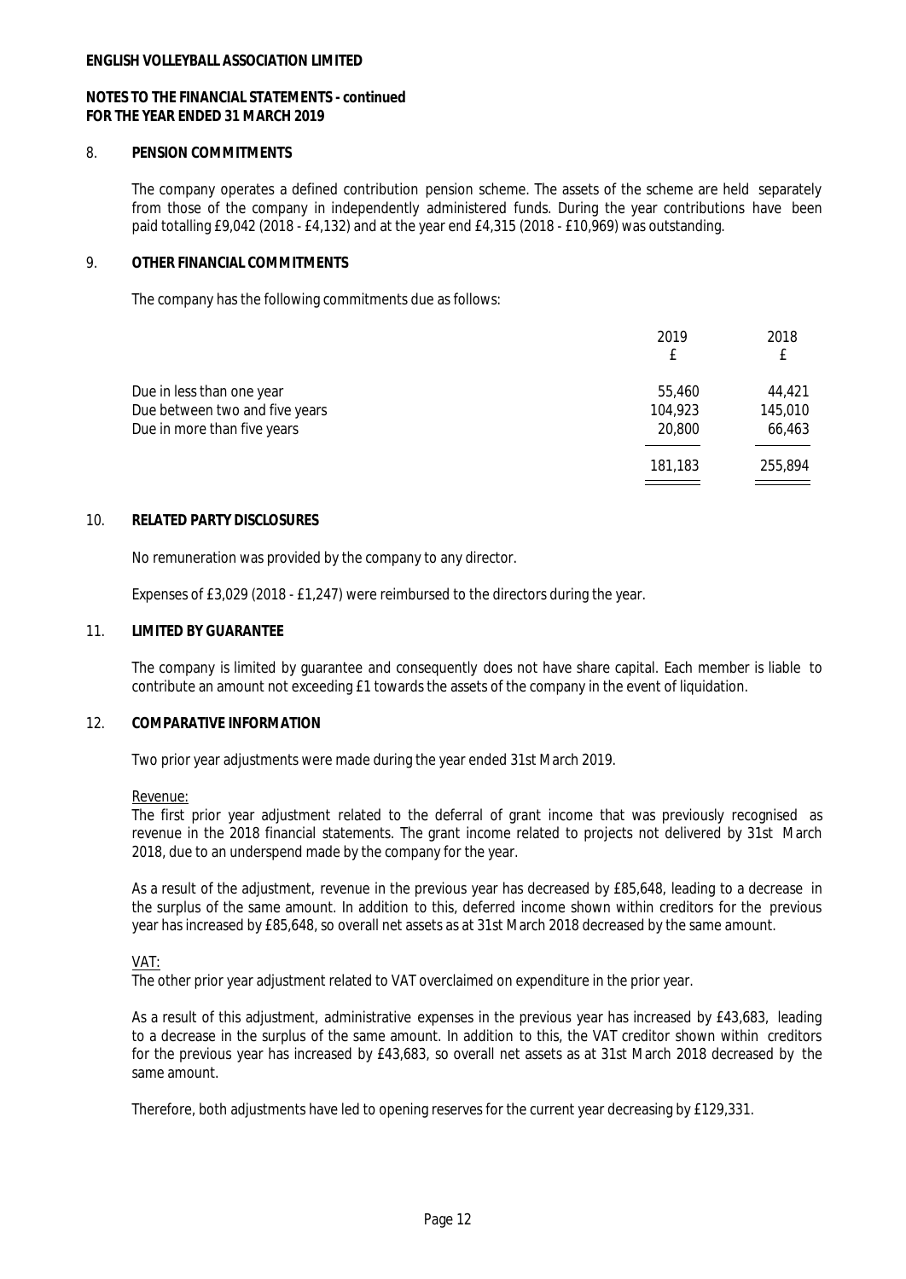## **NOTES TO THE FINANCIAL STATEMENTS - continued FOR THE YEAR ENDED 31 MARCH 2019**

#### 8. **PENSION COMMITMENTS**

The company operates a defined contribution pension scheme. The assets of the scheme are held separately from those of the company in independently administered funds. During the year contributions have been paid totalling £9,042 (2018 - £4,132) and at the year end £4,315 (2018 - £10,969) was outstanding.

## 9. **OTHER FINANCIAL COMMITMENTS**

The company has the following commitments due as follows:

|                                | 2019    | 2018    |  |
|--------------------------------|---------|---------|--|
|                                | £       | £       |  |
| Due in less than one year      | 55,460  | 44,421  |  |
| Due between two and five years | 104,923 | 145,010 |  |
| Due in more than five years    | 20,800  | 66,463  |  |
|                                | 181,183 | 255,894 |  |
|                                |         |         |  |

# 10. **RELATED PARTY DISCLOSURES**

No remuneration was provided by the company to any director.

Expenses of £3,029 (2018 - £1,247) were reimbursed to the directors during the year.

### 11. **LIMITED BY GUARANTEE**

The company is limited by guarantee and consequently does not have share capital. Each member is liable to contribute an amount not exceeding £1 towards the assets of the company in the event of liquidation.

#### 12. **COMPARATIVE INFORMATION**

Two prior year adjustments were made during the year ended 31st March 2019.

#### Revenue:

The first prior year adjustment related to the deferral of grant income that was previously recognised as revenue in the 2018 financial statements. The grant income related to projects not delivered by 31st March 2018, due to an underspend made by the company for the year.

As a result of the adjustment, revenue in the previous year has decreased by£85,648, leading to a decrease in the surplus of the same amount. In addition to this, deferred income shown within creditors for the previous year has increased by £85,648, so overall net assets as at 31st March 2018 decreased by the same amount.

#### VAT:

The other prior year adjustment related to VAT overclaimed on expenditure in the prior year.

As a result of this adjustment, administrative expenses in the previous year has increased by £43,683, leading to a decrease in the surplus of the same amount. In addition to this, the VAT creditor shown within creditors for the previous year has increased by£43,683, so overall net assets as at 31st March 2018 decreased by the same amount.

Therefore, both adjustments have led to opening reserves for the current year decreasing by £129,331.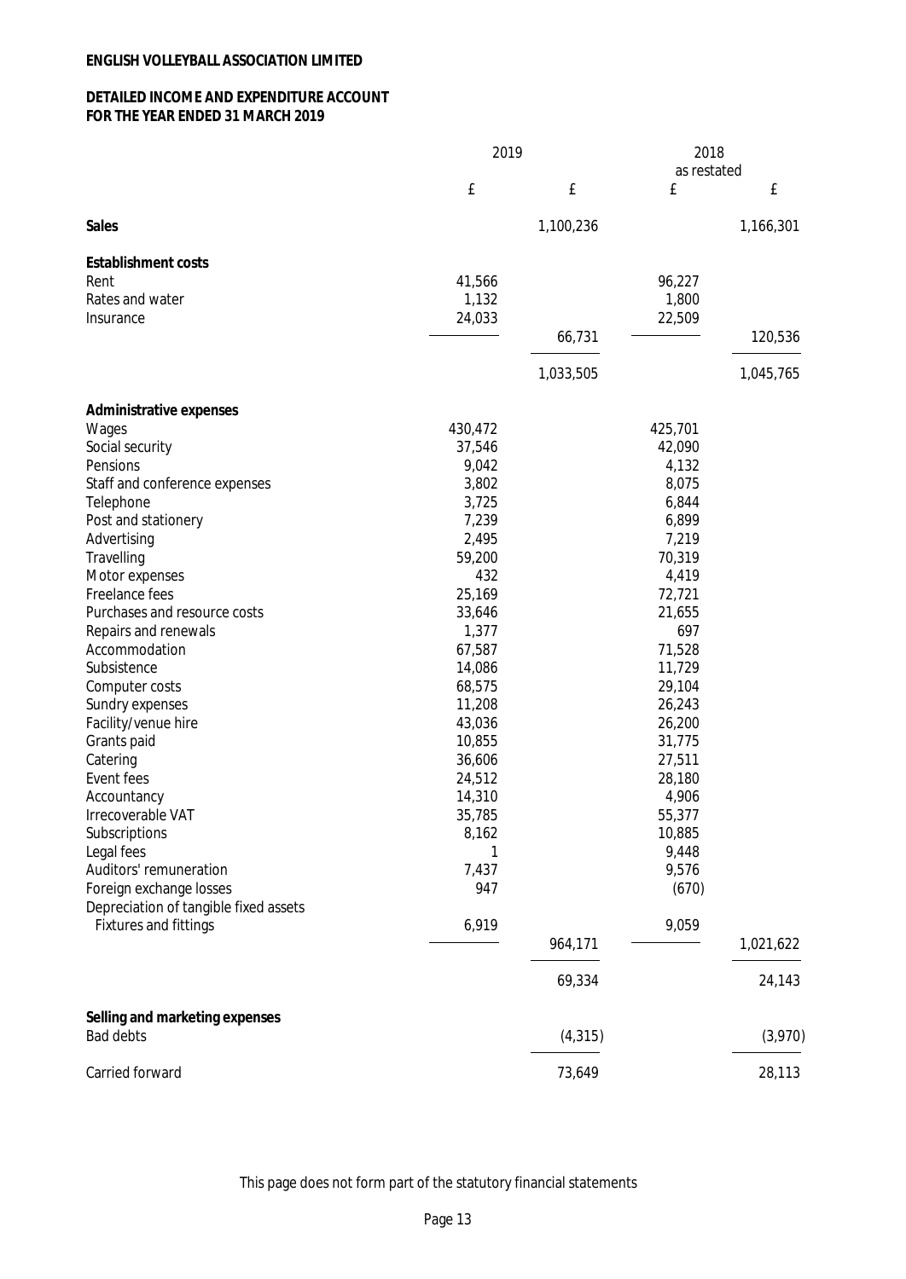# **DETAILED INCOME AND EXPENDITURE ACCOUNT FOR THE YEAR ENDED 31 MARCH 2019**

|                                              | 2019    |           | 2018<br>as restated |           |
|----------------------------------------------|---------|-----------|---------------------|-----------|
|                                              | £       | £         | £                   | £         |
| <b>Sales</b>                                 |         | 1,100,236 |                     | 1,166,301 |
| <b>Establishment costs</b>                   |         |           |                     |           |
| <b>Rent</b>                                  | 41,566  |           | 96,227              |           |
| <b>Rates and water</b>                       | 1,132   |           | 1,800               |           |
| <b>Insurance</b>                             | 24,033  |           | 22,509              |           |
|                                              |         | 66,731    |                     | 120,536   |
|                                              |         | 1,033,505 |                     | 1,045,765 |
| <b>Administrative expenses</b>               |         |           |                     |           |
| <b>Wages</b>                                 | 430,472 |           | 425,701             |           |
| <b>Social security</b>                       | 37,546  |           | 42,090              |           |
| <b>Pensions</b>                              | 9,042   |           | 4,132               |           |
| <b>Staff and conference expenses</b>         | 3,802   |           | 8,075               |           |
| <b>Telephone</b>                             | 3,725   |           | 6,844               |           |
| <b>Post and stationery</b>                   | 7,239   |           | 6,899               |           |
| <b>Advertising</b>                           | 2,495   |           | 7,219               |           |
| <b>Travelling</b>                            | 59,200  |           | 70,319              |           |
| <b>Motor expenses</b>                        | 432     |           | 4,419               |           |
| <b>Freelance fees</b>                        | 25,169  |           | 72,721              |           |
| <b>Purchases and resource costs</b>          | 33,646  |           | 21,655              |           |
| <b>Repairs and renewals</b>                  | 1,377   |           | 697                 |           |
| <b>Accommodation</b>                         | 67,587  |           | 71,528              |           |
| <b>Subsistence</b>                           | 14,086  |           | 11,729              |           |
| <b>Computer costs</b>                        | 68,575  |           | 29,104              |           |
| <b>Sundry expenses</b>                       | 11,208  |           | 26,243              |           |
| <b>Facility/venue hire</b>                   | 43,036  |           | 26,200              |           |
| <b>Grants paid</b>                           | 10,855  |           | 31,775              |           |
| <b>Catering</b>                              | 36,606  |           | 27,511              |           |
| <b>Event fees</b>                            | 24,512  |           | 28,180              |           |
| <b>Accountancy</b>                           | 14,310  |           | 4,906               |           |
| <b>Irrecoverable VAT</b>                     | 35,785  |           | 55,377              |           |
| <b>Subscriptions</b>                         | 8,162   |           | 10,885              |           |
| <b>Legal fees</b>                            | 1       |           | 9,448               |           |
| <b>Auditors' remuneration</b>                | 7,437   |           | 9,576               |           |
| <b>Foreign exchange losses</b>               | 947     |           | (670)               |           |
| <b>Depreciation of tangible fixed assets</b> |         |           |                     |           |
| <b>Fixtures and fittings</b>                 | 6,919   |           | 9,059               |           |
|                                              |         | 964,171   |                     | 1,021,622 |
|                                              |         | 69,334    |                     | 24,143    |
| <b>Selling and marketing expenses</b>        |         |           |                     |           |
| <b>Bad debts</b>                             |         | (4, 315)  |                     | (3,970)   |
| <b>Carried forward</b>                       |         | 73,649    |                     | 28,113    |